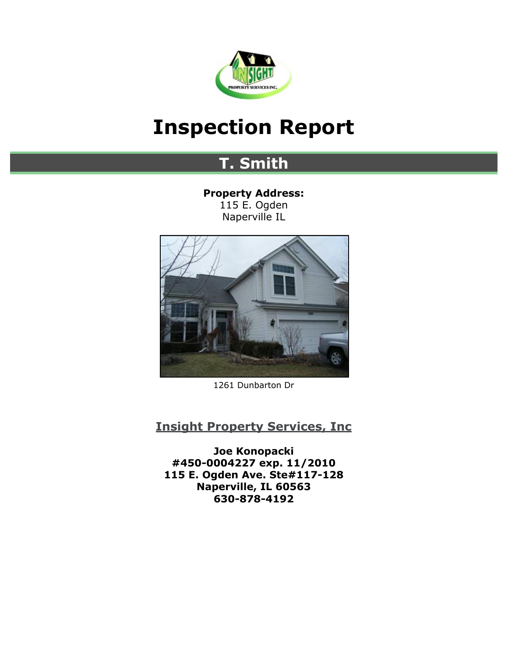

# <span id="page-0-0"></span>**Inspection Report**

# **T. Smith**

**Property Address:** 115 E. Ogden Naperville IL



1261 Dunbarton Dr

## **[Insight Property Services, Inc](http://insightpropertyservicesinc.com)**

**Joe Konopacki #450-0004227 exp. 11/2010 115 E. Ogden Ave. Ste#117-128 Naperville, IL 60563 630-878-4192**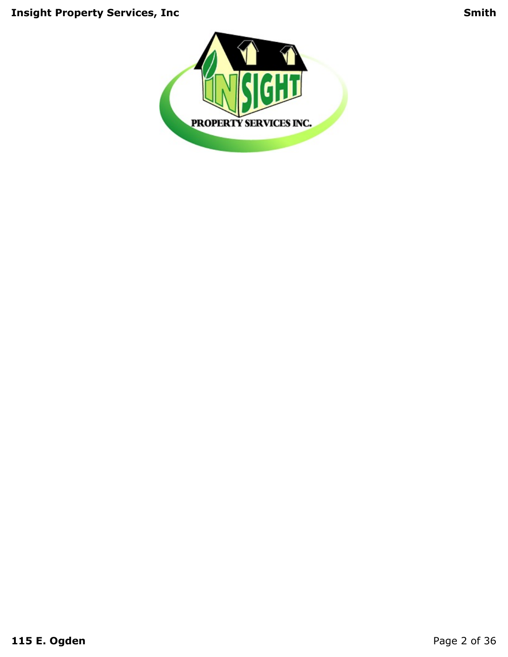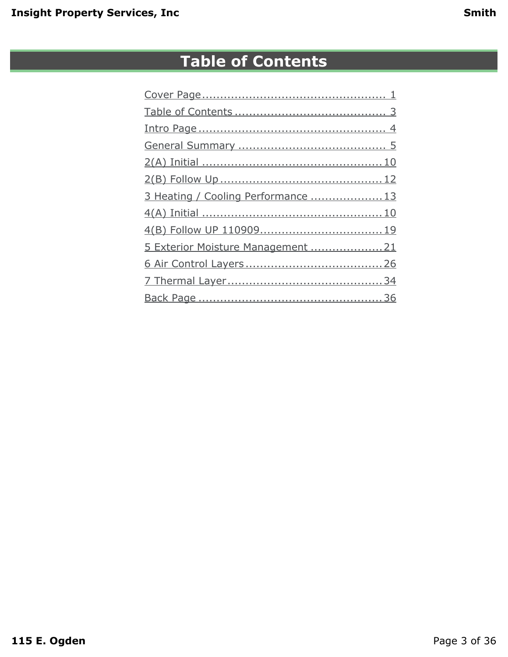# **Table of Contents**

<span id="page-2-0"></span>

| 3 Heating / Cooling Performance  13 |
|-------------------------------------|
|                                     |
|                                     |
| 5 Exterior Moisture Management 21   |
|                                     |
|                                     |
|                                     |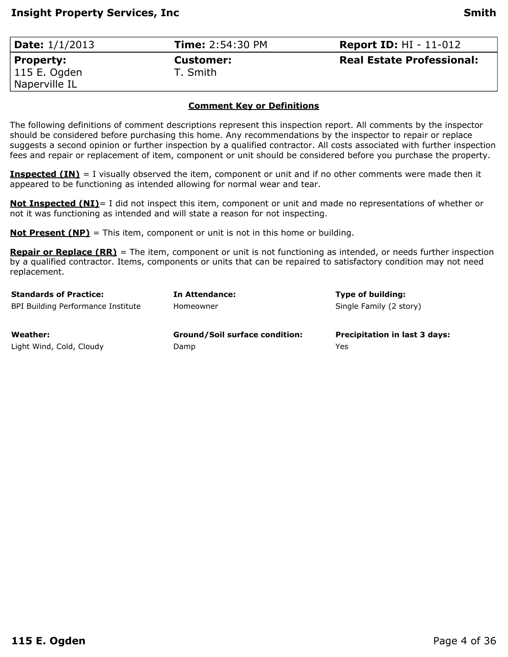<span id="page-3-0"></span>

| <b>Date:</b> $1/1/2013$ | <b>Time: 2:54:30 PM</b> | <b>Report ID:</b> $HI - 11-012$  |
|-------------------------|-------------------------|----------------------------------|
| Property:               | <b>Customer:</b>        | <b>Real Estate Professional:</b> |
| 115 E. Ogden            | T. Smith                |                                  |
| Naperville IL           |                         |                                  |

#### **Comment Key or Definitions**

The following definitions of comment descriptions represent this inspection report. All comments by the inspector should be considered before purchasing this home. Any recommendations by the inspector to repair or replace suggests a second opinion or further inspection by a qualified contractor. All costs associated with further inspection fees and repair or replacement of item, component or unit should be considered before you purchase the property.

**Inspected (IN)** = I visually observed the item, component or unit and if no other comments were made then it appeared to be functioning as intended allowing for normal wear and tear.

**Not Inspected (NI)**= I did not inspect this item, component or unit and made no representations of whether or not it was functioning as intended and will state a reason for not inspecting.

**Not Present (NP)** = This item, component or unit is not in this home or building.

**Repair or Replace (RR)** = The item, component or unit is not functioning as intended, or needs further inspection by a qualified contractor. Items, components or units that can be repaired to satisfactory condition may not need replacement.

| <b>Standards of Practice:</b>      | In Attendance:                        | Type of building:                    |
|------------------------------------|---------------------------------------|--------------------------------------|
| BPI Building Performance Institute | Homeowner                             | Single Family (2 story)              |
| Weather:                           | <b>Ground/Soil surface condition:</b> | <b>Precipitation in last 3 days:</b> |
| Light Wind, Cold, Cloudy           | Damp                                  | Yes                                  |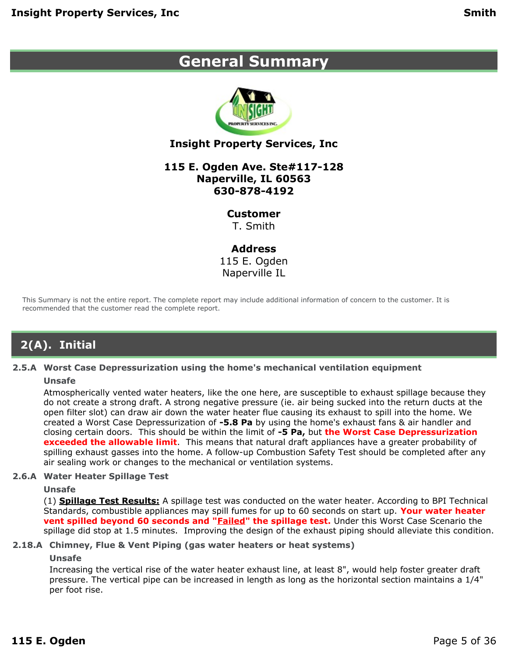## <span id="page-4-0"></span>**General Summary**



### **Insight Property Services, Inc**

#### **115 E. Ogden Ave. Ste#117-128 Naperville, IL 60563 630-878-4192**

#### **Customer**

T. Smith

#### **Address**

115 E. Ogden Naperville IL

This Summary is not the entire report. The complete report may include additional information of concern to the customer. It is recommended that the customer read the complete report.

## **2(A). Initial**

#### **2.5.A Worst Case Depressurization using the home's mechanical ventilation equipment**

#### **Unsafe**

Atmospherically vented water heaters, like the one here, are susceptible to exhaust spillage because they do not create a strong draft. A strong negative pressure (ie. air being sucked into the return ducts at the open filter slot) can draw air down the water heater flue causing its exhaust to spill into the home. We created a Worst Case Depressurization of **-5.8 Pa** by using the home's exhaust fans & air handler and closing certain doors. This should be within the limit of **-5 Pa,** but **the Worst Case Depressurization exceeded the allowable limit**. This means that natural draft appliances have a greater probability of spilling exhaust gasses into the home. A follow-up Combustion Safety Test should be completed after any air sealing work or changes to the mechanical or ventilation systems.

#### **2.6.A Water Heater Spillage Test**

#### **Unsafe**

(1) **Spillage Test Results:** A spillage test was conducted on the water heater. According to BPI Technical Standards, combustible appliances may spill fumes for up to 60 seconds on start up. **Your water heater vent spilled beyond 60 seconds and "Failed" the spillage test.** Under this Worst Case Scenario the spillage did stop at 1.5 minutes. Improving the design of the exhaust piping should alleviate this condition.

#### **2.18.A Chimney, Flue & Vent Piping (gas water heaters or heat systems)**

#### **Unsafe**

Increasing the vertical rise of the water heater exhaust line, at least 8", would help foster greater draft pressure. The vertical pipe can be increased in length as long as the horizontal section maintains a 1/4" per foot rise.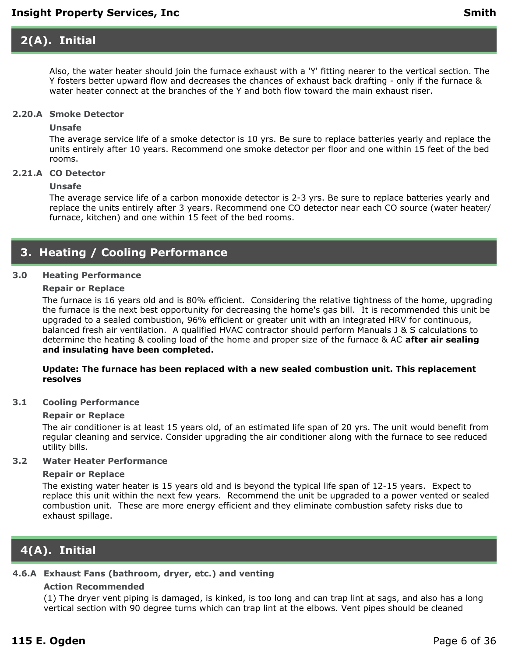## **2(A). Initial**

Also, the water heater should join the furnace exhaust with a 'Y' fitting nearer to the vertical section. The Y fosters better upward flow and decreases the chances of exhaust back drafting - only if the furnace & water heater connect at the branches of the Y and both flow toward the main exhaust riser.

#### **2.20.A Smoke Detector**

### **Unsafe**

The average service life of a smoke detector is 10 yrs. Be sure to replace batteries yearly and replace the units entirely after 10 years. Recommend one smoke detector per floor and one within 15 feet of the bed rooms.

#### **2.21.A CO Detector**

#### **Unsafe**

The average service life of a carbon monoxide detector is 2-3 yrs. Be sure to replace batteries yearly and replace the units entirely after 3 years. Recommend one CO detector near each CO source (water heater/ furnace, kitchen) and one within 15 feet of the bed rooms.

### **3. Heating / Cooling Performance**

#### **3.0 Heating Performance**

#### **Repair or Replace**

The furnace is 16 years old and is 80% efficient. Considering the relative tightness of the home, upgrading the furnace is the next best opportunity for decreasing the home's gas bill. It is recommended this unit be upgraded to a sealed combustion, 96% efficient or greater unit with an integrated HRV for continuous, balanced fresh air ventilation. A qualified HVAC contractor should perform Manuals J & S calculations to determine the heating & cooling load of the home and proper size of the furnace & AC **after air sealing and insulating have been completed.**

#### **Update: The furnace has been replaced with a new sealed combustion unit. This replacement resolves**

#### **3.1 Cooling Performance**

#### **Repair or Replace**

The air conditioner is at least 15 years old, of an estimated life span of 20 yrs. The unit would benefit from regular cleaning and service. Consider upgrading the air conditioner along with the furnace to see reduced utility bills.

#### **3.2 Water Heater Performance**

#### **Repair or Replace**

The existing water heater is 15 years old and is beyond the typical life span of 12-15 years. Expect to replace this unit within the next few years. Recommend the unit be upgraded to a power vented or sealed combustion unit. These are more energy efficient and they eliminate combustion safety risks due to exhaust spillage.

### **4(A). Initial**

### **4.6.A Exhaust Fans (bathroom, dryer, etc.) and venting**

#### **Action Recommended**

(1) The dryer vent piping is damaged, is kinked, is too long and can trap lint at sags, and also has a long vertical section with 90 degree turns which can trap lint at the elbows. Vent pipes should be cleaned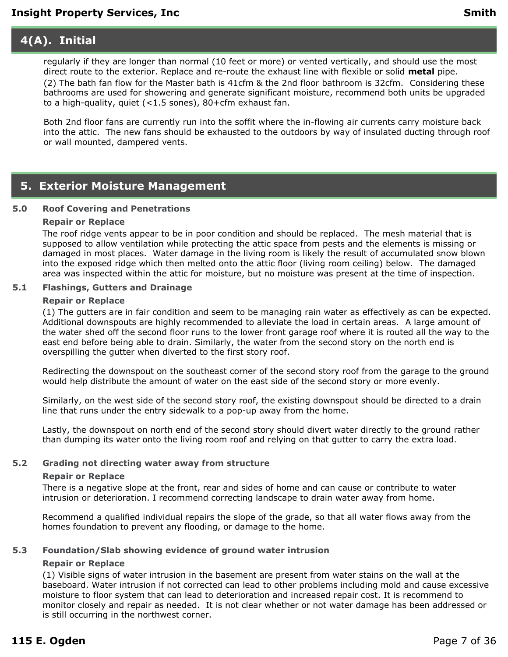### **4(A). Initial**

regularly if they are longer than normal (10 feet or more) or vented vertically, and should use the most direct route to the exterior. Replace and re-route the exhaust line with flexible or solid **metal** pipe. (2) The bath fan flow for the Master bath is 41cfm & the 2nd floor bathroom is 32cfm. Considering these bathrooms are used for showering and generate significant moisture, recommend both units be upgraded to a high-quality, quiet (<1.5 sones), 80+cfm exhaust fan.

Both 2nd floor fans are currently run into the soffit where the in-flowing air currents carry moisture back into the attic. The new fans should be exhausted to the outdoors by way of insulated ducting through roof or wall mounted, dampered vents.

### **5. Exterior Moisture Management**

#### **5.0 Roof Covering and Penetrations**

#### **Repair or Replace**

The roof ridge vents appear to be in poor condition and should be replaced. The mesh material that is supposed to allow ventilation while protecting the attic space from pests and the elements is missing or damaged in most places. Water damage in the living room is likely the result of accumulated snow blown into the exposed ridge which then melted onto the attic floor (living room ceiling) below. The damaged area was inspected within the attic for moisture, but no moisture was present at the time of inspection.

#### **5.1 Flashings, Gutters and Drainage**

#### **Repair or Replace**

(1) The gutters are in fair condition and seem to be managing rain water as effectively as can be expected. Additional downspouts are highly recommended to alleviate the load in certain areas. A large amount of the water shed off the second floor runs to the lower front garage roof where it is routed all the way to the east end before being able to drain. Similarly, the water from the second story on the north end is overspilling the gutter when diverted to the first story roof.

Redirecting the downspout on the southeast corner of the second story roof from the garage to the ground would help distribute the amount of water on the east side of the second story or more evenly.

Similarly, on the west side of the second story roof, the existing downspout should be directed to a drain line that runs under the entry sidewalk to a pop-up away from the home.

Lastly, the downspout on north end of the second story should divert water directly to the ground rather than dumping its water onto the living room roof and relying on that gutter to carry the extra load.

#### **5.2 Grading not directing water away from structure**

#### **Repair or Replace**

There is a negative slope at the front, rear and sides of home and can cause or contribute to water intrusion or deterioration. I recommend correcting landscape to drain water away from home.

Recommend a qualified individual repairs the slope of the grade, so that all water flows away from the homes foundation to prevent any flooding, or damage to the home.

#### **5.3 Foundation/Slab showing evidence of ground water intrusion**

#### **Repair or Replace**

(1) Visible signs of water intrusion in the basement are present from water stains on the wall at the baseboard. Water intrusion if not corrected can lead to other problems including mold and cause excessive moisture to floor system that can lead to deterioration and increased repair cost. It is recommend to monitor closely and repair as needed. It is not clear whether or not water damage has been addressed or is still occurring in the northwest corner.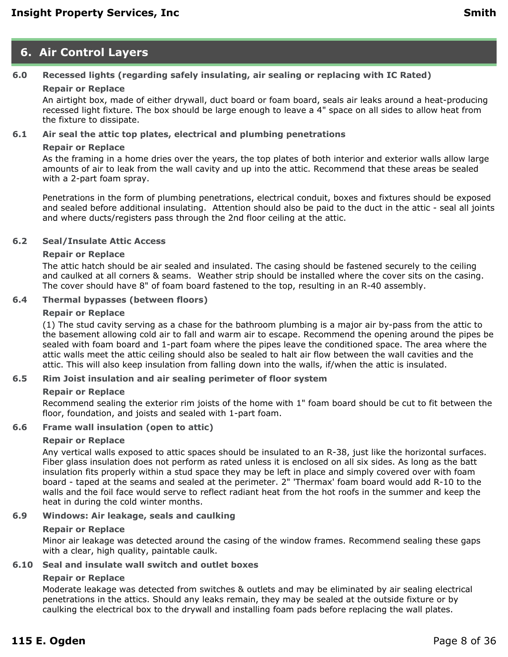### **6. Air Control Layers**

### **6.0 Recessed lights (regarding safely insulating, air sealing or replacing with IC Rated)**

### **Repair or Replace**

An airtight box, made of either drywall, duct board or foam board, seals air leaks around a heat-producing recessed light fixture. The box should be large enough to leave a 4" space on all sides to allow heat from the fixture to dissipate.

#### **6.1 Air seal the attic top plates, electrical and plumbing penetrations**

#### **Repair or Replace**

As the framing in a home dries over the years, the top plates of both interior and exterior walls allow large amounts of air to leak from the wall cavity and up into the attic. Recommend that these areas be sealed with a 2-part foam spray.

Penetrations in the form of plumbing penetrations, electrical conduit, boxes and fixtures should be exposed and sealed before additional insulating. Attention should also be paid to the duct in the attic - seal all joints and where ducts/registers pass through the 2nd floor ceiling at the attic.

#### **6.2 Seal/Insulate Attic Access**

#### **Repair or Replace**

The attic hatch should be air sealed and insulated. The casing should be fastened securely to the ceiling and caulked at all corners & seams. Weather strip should be installed where the cover sits on the casing. The cover should have 8" of foam board fastened to the top, resulting in an R-40 assembly.

#### **6.4 Thermal bypasses (between floors)**

#### **Repair or Replace**

(1) The stud cavity serving as a chase for the bathroom plumbing is a major air by-pass from the attic to the basement allowing cold air to fall and warm air to escape. Recommend the opening around the pipes be sealed with foam board and 1-part foam where the pipes leave the conditioned space. The area where the attic walls meet the attic ceiling should also be sealed to halt air flow between the wall cavities and the attic. This will also keep insulation from falling down into the walls, if/when the attic is insulated.

#### **6.5 Rim Joist insulation and air sealing perimeter of floor system**

#### **Repair or Replace**

Recommend sealing the exterior rim joists of the home with 1" foam board should be cut to fit between the floor, foundation, and joists and sealed with 1-part foam.

#### **6.6 Frame wall insulation (open to attic)**

#### **Repair or Replace**

Any vertical walls exposed to attic spaces should be insulated to an R-38, just like the horizontal surfaces. Fiber glass insulation does not perform as rated unless it is enclosed on all six sides. As long as the batt insulation fits properly within a stud space they may be left in place and simply covered over with foam board - taped at the seams and sealed at the perimeter. 2" 'Thermax' foam board would add R-10 to the walls and the foil face would serve to reflect radiant heat from the hot roofs in the summer and keep the heat in during the cold winter months.

#### **6.9 Windows: Air leakage, seals and caulking**

#### **Repair or Replace**

Minor air leakage was detected around the casing of the window frames. Recommend sealing these gaps with a clear, high quality, paintable caulk.

#### **6.10 Seal and insulate wall switch and outlet boxes**

#### **Repair or Replace**

Moderate leakage was detected from switches & outlets and may be eliminated by air sealing electrical penetrations in the attics. Should any leaks remain, they may be sealed at the outside fixture or by caulking the electrical box to the drywall and installing foam pads before replacing the wall plates.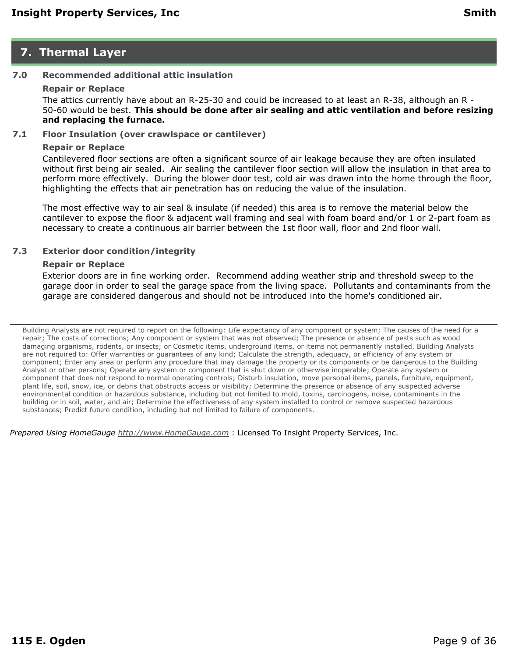### **7. Thermal Layer**

### **7.0 Recommended additional attic insulation**

#### **Repair or Replace**

The attics currently have about an R-25-30 and could be increased to at least an R-38, although an R - 50-60 would be best. **This should be done after air sealing and attic ventilation and before resizing and replacing the furnace.**

#### **7.1 Floor Insulation (over crawlspace or cantilever)**

#### **Repair or Replace**

Cantilevered floor sections are often a significant source of air leakage because they are often insulated without first being air sealed. Air sealing the cantilever floor section will allow the insulation in that area to perform more effectively. During the blower door test, cold air was drawn into the home through the floor, highlighting the effects that air penetration has on reducing the value of the insulation.

The most effective way to air seal & insulate (if needed) this area is to remove the material below the cantilever to expose the floor & adjacent wall framing and seal with foam board and/or 1 or 2-part foam as necessary to create a continuous air barrier between the 1st floor wall, floor and 2nd floor wall.

#### **7.3 Exterior door condition/integrity**

#### **Repair or Replace**

Exterior doors are in fine working order. Recommend adding weather strip and threshold sweep to the garage door in order to seal the garage space from the living space. Pollutants and contaminants from the garage are considered dangerous and should not be introduced into the home's conditioned air.

Building Analysts are not required to report on the following: Life expectancy of any component or system; The causes of the need for a repair; The costs of corrections; Any component or system that was not observed; The presence or absence of pests such as wood damaging organisms, rodents, or insects; or Cosmetic items, underground items, or items not permanently installed. Building Analysts are not required to: Offer warranties or guarantees of any kind; Calculate the strength, adequacy, or efficiency of any system or component; Enter any area or perform any procedure that may damage the property or its components or be dangerous to the Building Analyst or other persons; Operate any system or component that is shut down or otherwise inoperable; Operate any system or component that does not respond to normal operating controls; Disturb insulation, move personal items, panels, furniture, equipment, plant life, soil, snow, ice, or debris that obstructs access or visibility; Determine the presence or absence of any suspected adverse environmental condition or hazardous substance, including but not limited to mold, toxins, carcinogens, noise, contaminants in the building or in soil, water, and air; Determine the effectiveness of any system installed to control or remove suspected hazardous substances; Predict future condition, including but not limited to failure of components.

*Prepared Using HomeGauge <http://www.HomeGauge.com>* : Licensed To Insight Property Services, Inc.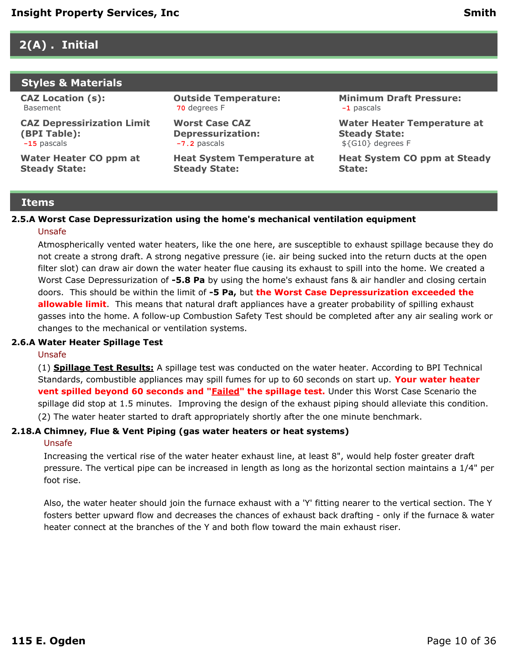### <span id="page-9-0"></span>**2(A) . Initial**

#### **Styles & Materials**

**CAZ Location (s):** Basement

**CAZ Depressirization Limit (BPI Table): -15** pascals

**Water Heater CO ppm at Steady State:**

**Outside Temperature: 70** degrees F

**Worst Case CAZ Depressurization: -7.2** pascals

**Heat System Temperature at Steady State:**

**Minimum Draft Pressure: -1** pascals

**Water Heater Temperature at Steady State:** \${G10} degrees F

**Heat System CO ppm at Steady State:**

#### **Items**

#### **2.5.A Worst Case Depressurization using the home's mechanical ventilation equipment**

#### Unsafe

Atmospherically vented water heaters, like the one here, are susceptible to exhaust spillage because they do not create a strong draft. A strong negative pressure (ie. air being sucked into the return ducts at the open filter slot) can draw air down the water heater flue causing its exhaust to spill into the home. We created a Worst Case Depressurization of **-5.8 Pa** by using the home's exhaust fans & air handler and closing certain doors. This should be within the limit of **-5 Pa,** but **the Worst Case Depressurization exceeded the allowable limit**. This means that natural draft appliances have a greater probability of spilling exhaust gasses into the home. A follow-up Combustion Safety Test should be completed after any air sealing work or changes to the mechanical or ventilation systems.

#### **2.6.A Water Heater Spillage Test**

#### Unsafe

(1) **Spillage Test Results:** A spillage test was conducted on the water heater. According to BPI Technical Standards, combustible appliances may spill fumes for up to 60 seconds on start up. **Your water heater vent spilled beyond 60 seconds and "Failed" the spillage test.** Under this Worst Case Scenario the spillage did stop at 1.5 minutes. Improving the design of the exhaust piping should alleviate this condition. (2) The water heater started to draft appropriately shortly after the one minute benchmark.

#### **2.18.A Chimney, Flue & Vent Piping (gas water heaters or heat systems)**

#### Unsafe

Increasing the vertical rise of the water heater exhaust line, at least 8", would help foster greater draft pressure. The vertical pipe can be increased in length as long as the horizontal section maintains a 1/4" per foot rise.

Also, the water heater should join the furnace exhaust with a 'Y' fitting nearer to the vertical section. The Y fosters better upward flow and decreases the chances of exhaust back drafting - only if the furnace & water heater connect at the branches of the Y and both flow toward the main exhaust riser.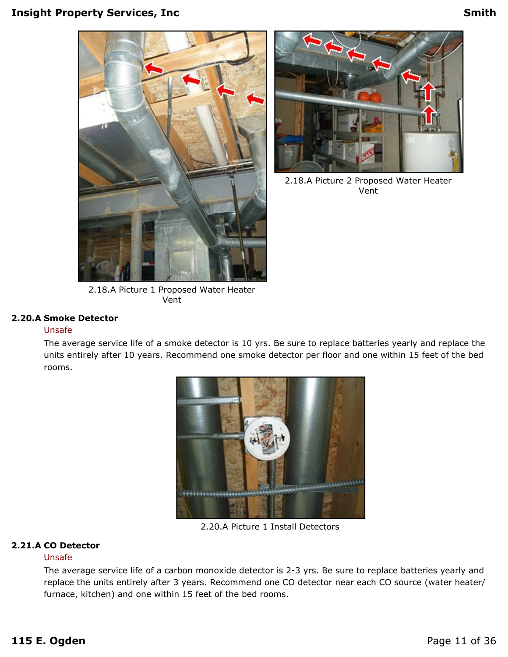



2.18.A Picture 2 Proposed Water Heater Vent

2.18.A Picture 1 Proposed Water Heater Vent

#### **2.20.A Smoke Detector**

#### Unsafe

The average service life of a smoke detector is 10 yrs. Be sure to replace batteries yearly and replace the units entirely after 10 years. Recommend one smoke detector per floor and one within 15 feet of the bed rooms.



2.20.A Picture 1 Install Detectors

#### **2.21.A CO Detector**

#### Unsafe

The average service life of a carbon monoxide detector is 2-3 yrs. Be sure to replace batteries yearly and replace the units entirely after 3 years. Recommend one CO detector near each CO source (water heater/ furnace, kitchen) and one within 15 feet of the bed rooms.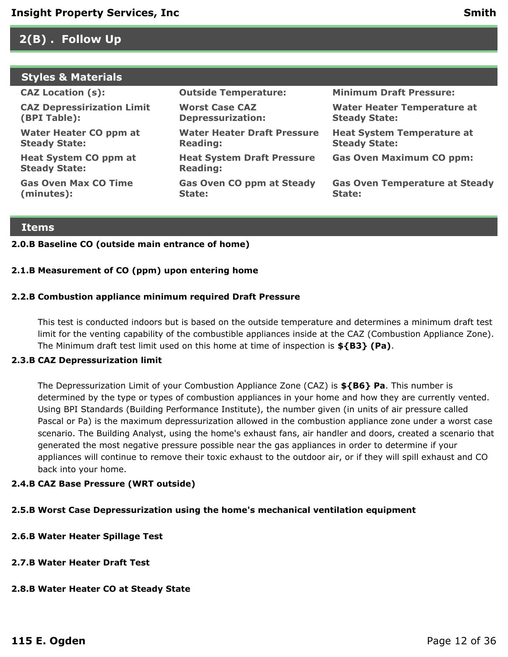### <span id="page-11-0"></span>**2(B) . Follow Up**

### **Styles & Materials**

| <b>CAZ Location (s):</b>                             | <b>Outside Temperature:</b>                           | <b>Minimum Draft Pressure:</b>                             |
|------------------------------------------------------|-------------------------------------------------------|------------------------------------------------------------|
| <b>CAZ Depressirization Limit</b><br>(BPI Table):    | <b>Worst Case CAZ</b><br><b>Depressurization:</b>     | <b>Water Heater Temperature at</b><br><b>Steady State:</b> |
| Water Heater CO ppm at<br><b>Steady State:</b>       | <b>Water Heater Draft Pressure</b><br><b>Reading:</b> | <b>Heat System Temperature at</b><br><b>Steady State:</b>  |
| <b>Heat System CO ppm at</b><br><b>Steady State:</b> | <b>Heat System Draft Pressure</b><br><b>Reading:</b>  | <b>Gas Oven Maximum CO ppm:</b>                            |
| <b>Gas Oven Max CO Time</b><br>(minutes):            | <b>Gas Oven CO ppm at Steady</b><br>State:            | <b>Gas Oven Temperature at Steady</b><br>State:            |
|                                                      |                                                       |                                                            |

#### **Items**

#### **2.0.B Baseline CO (outside main entrance of home)**

#### **2.1.B Measurement of CO (ppm) upon entering home**

#### **2.2.B Combustion appliance minimum required Draft Pressure**

This test is conducted indoors but is based on the outside temperature and determines a minimum draft test limit for the venting capability of the combustible appliances inside at the CAZ (Combustion Appliance Zone). The Minimum draft test limit used on this home at time of inspection is **\${B3} (Pa)**.

#### **2.3.B CAZ Depressurization limit**

The Depressurization Limit of your Combustion Appliance Zone (CAZ) is **\${B6} Pa**. This number is determined by the type or types of combustion appliances in your home and how they are currently vented. Using BPI Standards (Building Performance Institute), the number given (in units of air pressure called Pascal or Pa) is the maximum depressurization allowed in the combustion appliance zone under a worst case scenario. The Building Analyst, using the home's exhaust fans, air handler and doors, created a scenario that generated the most negative pressure possible near the gas appliances in order to determine if your appliances will continue to remove their toxic exhaust to the outdoor air, or if they will spill exhaust and CO back into your home.

#### **2.4.B CAZ Base Pressure (WRT outside)**

#### **2.5.B Worst Case Depressurization using the home's mechanical ventilation equipment**

- **2.6.B Water Heater Spillage Test**
- **2.7.B Water Heater Draft Test**

#### **2.8.B Water Heater CO at Steady State**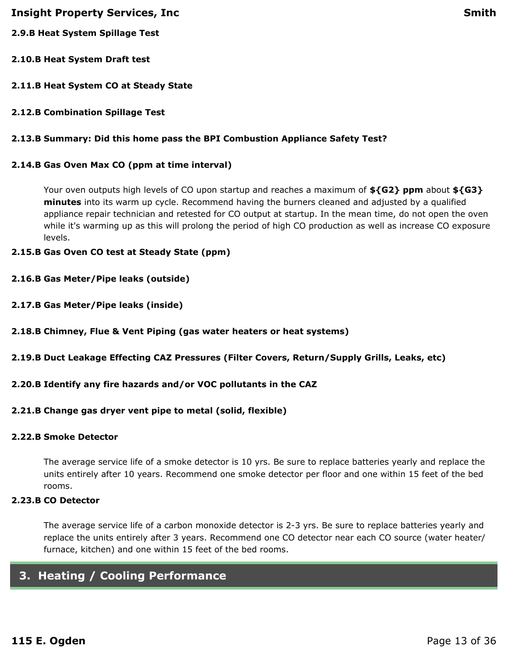- **2.9.B Heat System Spillage Test**
- **2.10.B Heat System Draft test**
- **2.11.B Heat System CO at Steady State**
- **2.12.B Combination Spillage Test**

#### **2.13.B Summary: Did this home pass the BPI Combustion Appliance Safety Test?**

#### **2.14.B Gas Oven Max CO (ppm at time interval)**

Your oven outputs high levels of CO upon startup and reaches a maximum of **\${G2} ppm** about **\${G3} minutes** into its warm up cycle. Recommend having the burners cleaned and adjusted by a qualified appliance repair technician and retested for CO output at startup. In the mean time, do not open the oven while it's warming up as this will prolong the period of high CO production as well as increase CO exposure levels.

#### **2.15.B Gas Oven CO test at Steady State (ppm)**

- **2.16.B Gas Meter/Pipe leaks (outside)**
- **2.17.B Gas Meter/Pipe leaks (inside)**
- **2.18.B Chimney, Flue & Vent Piping (gas water heaters or heat systems)**
- **2.19.B Duct Leakage Effecting CAZ Pressures (Filter Covers, Return/Supply Grills, Leaks, etc)**
- **2.20.B Identify any fire hazards and/or VOC pollutants in the CAZ**
- **2.21.B Change gas dryer vent pipe to metal (solid, flexible)**

### **2.22.B Smoke Detector**

The average service life of a smoke detector is 10 yrs. Be sure to replace batteries yearly and replace the units entirely after 10 years. Recommend one smoke detector per floor and one within 15 feet of the bed rooms.

### **2.23.B CO Detector**

The average service life of a carbon monoxide detector is 2-3 yrs. Be sure to replace batteries yearly and replace the units entirely after 3 years. Recommend one CO detector near each CO source (water heater/ furnace, kitchen) and one within 15 feet of the bed rooms.

### <span id="page-12-0"></span>**3. Heating / Cooling Performance**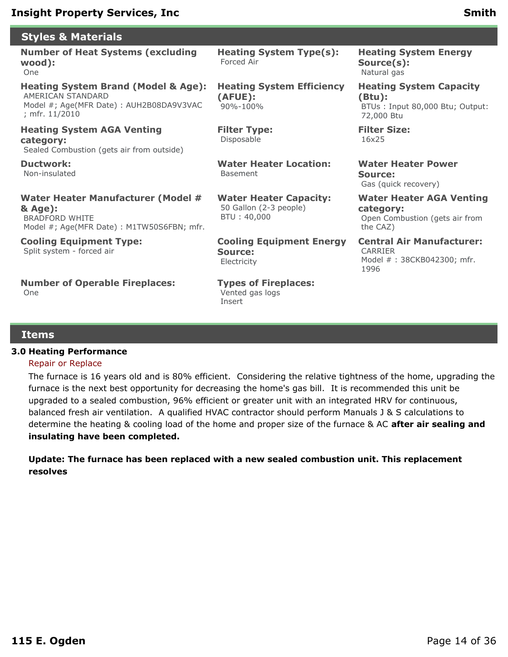### **Styles & Materials**

#### **Number of Heat Systems (excluding wood):** One

#### **Heating System Brand (Model & Age):** AMERICAN STANDARD Model #; Age(MFR Date) : AUH2B08DA9V3VAC ; mfr. 11/2010

**Heating System AGA Venting category:** Sealed Combustion (gets air from outside)

**Ductwork:** Non-insulated

**Water Heater Manufacturer (Model # & Age):** BRADFORD WHITE Model #; Age(MFR Date) : M1TW50S6FBN; mfr.

**Cooling Equipment Type:** Split system - forced air

**Number of Operable Fireplaces:** One

**Heating System Type(s):** Forced Air

**Heating System Efficiency (AFUE):** 90%-100%

**Filter Type:** Disposable

**Water Heater Location:** Basement

**Water Heater Capacity:** 50 Gallon (2-3 people) BTU : 40,000

**Cooling Equipment Energy Source:** Electricity

**Types of Fireplaces:** Vented gas logs Insert

**Heating System Energy Source(s):** Natural gas

**Heating System Capacity (Btu):** BTUs : Input 80,000 Btu; Output: 72,000 Btu

**Filter Size:** 16x25

**Water Heater Power Source:** Gas (quick recovery)

**Water Heater AGA Venting category:**

Open Combustion (gets air from the CAZ)

**Central Air Manufacturer:** CARRIER Model # : 38CKB042300; mfr. 1996

#### **Items**

#### **3.0 Heating Performance**

#### Repair or Replace

The furnace is 16 years old and is 80% efficient. Considering the relative tightness of the home, upgrading the furnace is the next best opportunity for decreasing the home's gas bill. It is recommended this unit be upgraded to a sealed combustion, 96% efficient or greater unit with an integrated HRV for continuous, balanced fresh air ventilation. A qualified HVAC contractor should perform Manuals J & S calculations to determine the heating & cooling load of the home and proper size of the furnace & AC **after air sealing and insulating have been completed.**

**Update: The furnace has been replaced with a new sealed combustion unit. This replacement resolves**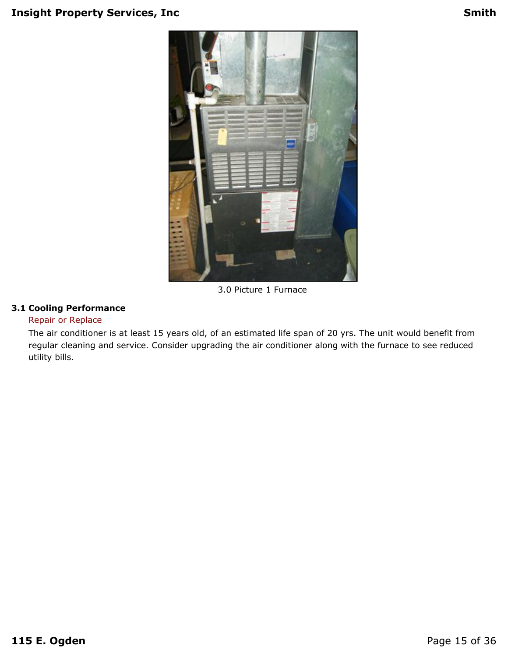

3.0 Picture 1 Furnace

### **3.1 Cooling Performance**

#### Repair or Replace

The air conditioner is at least 15 years old, of an estimated life span of 20 yrs. The unit would benefit from regular cleaning and service. Consider upgrading the air conditioner along with the furnace to see reduced utility bills.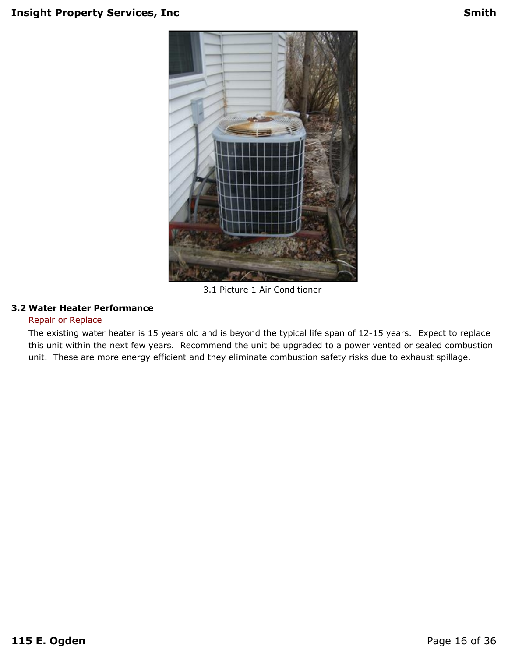

3.1 Picture 1 Air Conditioner

#### **3.2 Water Heater Performance**

#### Repair or Replace

The existing water heater is 15 years old and is beyond the typical life span of 12-15 years. Expect to replace this unit within the next few years. Recommend the unit be upgraded to a power vented or sealed combustion unit. These are more energy efficient and they eliminate combustion safety risks due to exhaust spillage.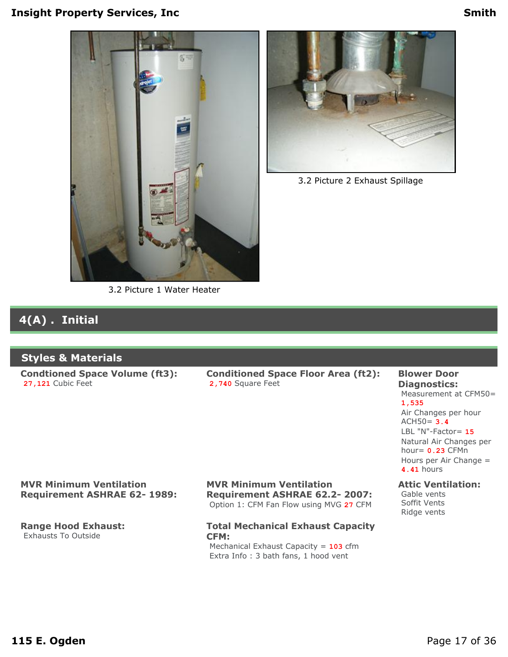



3.2 Picture 2 Exhaust Spillage

## **4(A) . Initial**

### **Styles & Materials**

**Condtioned Space Volume (ft3): 27,121** Cubic Feet

**Conditioned Space Floor Area (ft2): 2,740** Square Feet

#### **Blower Door Diagnostics:** Measurement at CFM50= **1,535** Air Changes per hour ACH50= **3.4** LBL "N"-Factor= **15**

Natural Air Changes per hour= **0.23** CFMn Hours per Air Change = **4.41** hours

#### **Attic Ventilation:**

Gable vents Soffit Vents Ridge vents

#### **MVR Minimum Ventilation Requirement ASHRAE 62- 1989:**

**Range Hood Exhaust:** Exhausts To Outside

#### **MVR Minimum Ventilation Requirement ASHRAE 62.2- 2007:** Option 1: CFM Fan Flow using MVG **27** CFM

#### **Total Mechanical Exhaust Capacity CFM:**

Mechanical Exhaust Capacity = **103** cfm Extra Info : 3 bath fans, 1 hood vent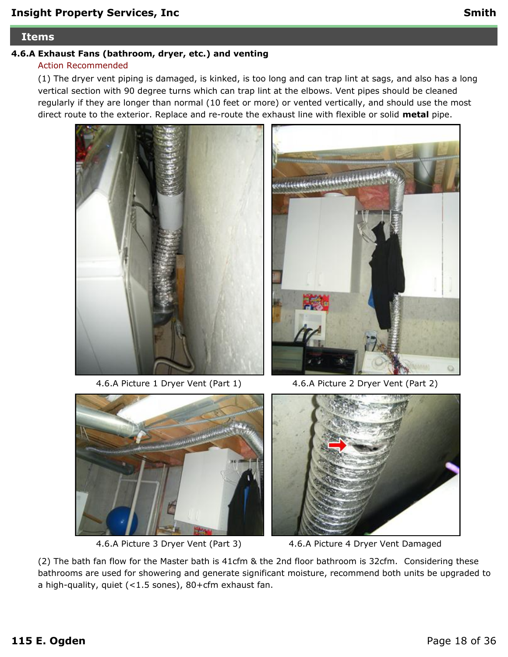#### **Items**

### **4.6.A Exhaust Fans (bathroom, dryer, etc.) and venting**

### Action Recommended

(1) The dryer vent piping is damaged, is kinked, is too long and can trap lint at sags, and also has a long vertical section with 90 degree turns which can trap lint at the elbows. Vent pipes should be cleaned regularly if they are longer than normal (10 feet or more) or vented vertically, and should use the most direct route to the exterior. Replace and re-route the exhaust line with flexible or solid **metal** pipe.



4.6.A Picture 1 Dryer Vent (Part 1) 4.6.A Picture 2 Dryer Vent (Part 2)







4.6.A Picture 3 Dryer Vent (Part 3) 4.6.A Picture 4 Dryer Vent Damaged

(2) The bath fan flow for the Master bath is 41cfm & the 2nd floor bathroom is 32cfm. Considering these bathrooms are used for showering and generate significant moisture, recommend both units be upgraded to a high-quality, quiet (<1.5 sones), 80+cfm exhaust fan.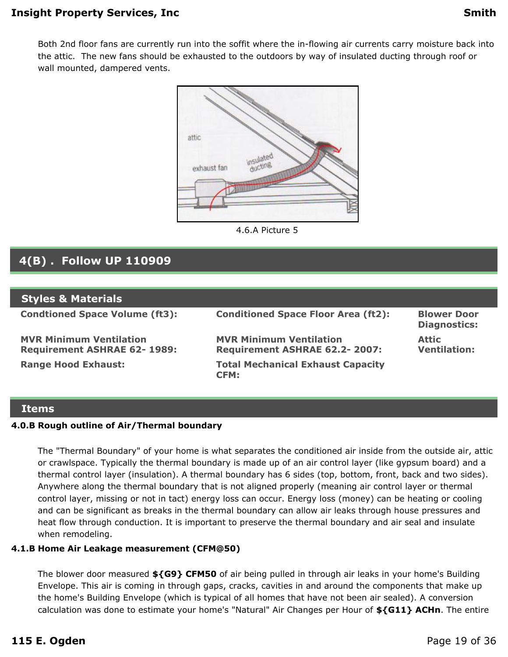Both 2nd floor fans are currently run into the soffit where the in-flowing air currents carry moisture back into the attic. The new fans should be exhausted to the outdoors by way of insulated ducting through roof or wall mounted, dampered vents.



4.6.A Picture 5

### <span id="page-18-0"></span>**4(B) . Follow UP 110909**

| <b>Styles &amp; Materials</b>                                        |                                                                        |                                           |
|----------------------------------------------------------------------|------------------------------------------------------------------------|-------------------------------------------|
| <b>Condtioned Space Volume (ft3):</b>                                | <b>Conditioned Space Floor Area (ft2):</b>                             | <b>Blower Door</b><br><b>Diagnostics:</b> |
| <b>MVR Minimum Ventilation</b><br><b>Requirement ASHRAE 62-1989:</b> | <b>MVR Minimum Ventilation</b><br><b>Requirement ASHRAE 62.2-2007:</b> | <b>Attic</b><br><b>Ventilation:</b>       |
| <b>Range Hood Exhaust:</b>                                           | <b>Total Mechanical Exhaust Capacity</b><br><b>CFM:</b>                |                                           |

#### **Items**

#### **4.0.B Rough outline of Air/Thermal boundary**

The "Thermal Boundary" of your home is what separates the conditioned air inside from the outside air, attic or crawlspace. Typically the thermal boundary is made up of an air control layer (like gypsum board) and a thermal control layer (insulation). A thermal boundary has 6 sides (top, bottom, front, back and two sides). Anywhere along the thermal boundary that is not aligned properly (meaning air control layer or thermal control layer, missing or not in tact) energy loss can occur. Energy loss (money) can be heating or cooling and can be significant as breaks in the thermal boundary can allow air leaks through house pressures and heat flow through conduction. It is important to preserve the thermal boundary and air seal and insulate when remodeling.

#### **4.1.B Home Air Leakage measurement (CFM@50)**

The blower door measured **\${G9} CFM50** of air being pulled in through air leaks in your home's Building Envelope. This air is coming in through gaps, cracks, cavities in and around the components that make up the home's Building Envelope (which is typical of all homes that have not been air sealed). A conversion calculation was done to estimate your home's "Natural" Air Changes per Hour of **\${G11} ACHn**. The entire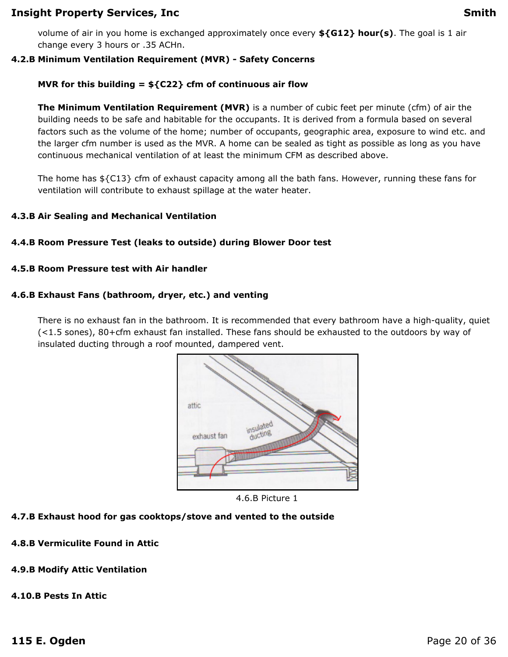volume of air in you home is exchanged approximately once every **\${G12} hour(s)**. The goal is 1 air change every 3 hours or .35 ACHn.

#### **4.2.B Minimum Ventilation Requirement (MVR) - Safety Concerns**

#### **MVR for this building = \${C22} cfm of continuous air flow**

**The Minimum Ventilation Requirement (MVR)** is a number of cubic feet per minute (cfm) of air the building needs to be safe and habitable for the occupants. It is derived from a formula based on several factors such as the volume of the home; number of occupants, geographic area, exposure to wind etc. and the larger cfm number is used as the MVR. A home can be sealed as tight as possible as long as you have continuous mechanical ventilation of at least the minimum CFM as described above.

The home has \${C13} cfm of exhaust capacity among all the bath fans. However, running these fans for ventilation will contribute to exhaust spillage at the water heater.

#### **4.3.B Air Sealing and Mechanical Ventilation**

#### **4.4.B Room Pressure Test (leaks to outside) during Blower Door test**

#### **4.5.B Room Pressure test with Air handler**

#### **4.6.B Exhaust Fans (bathroom, dryer, etc.) and venting**

There is no exhaust fan in the bathroom. It is recommended that every bathroom have a high-quality, quiet (<1.5 sones), 80+cfm exhaust fan installed. These fans should be exhausted to the outdoors by way of insulated ducting through a roof mounted, dampered vent.



4.6.B Picture 1

### **4.7.B Exhaust hood for gas cooktops/stove and vented to the outside**

**4.8.B Vermiculite Found in Attic**

### **4.9.B Modify Attic Ventilation**

#### **4.10.B Pests In Attic**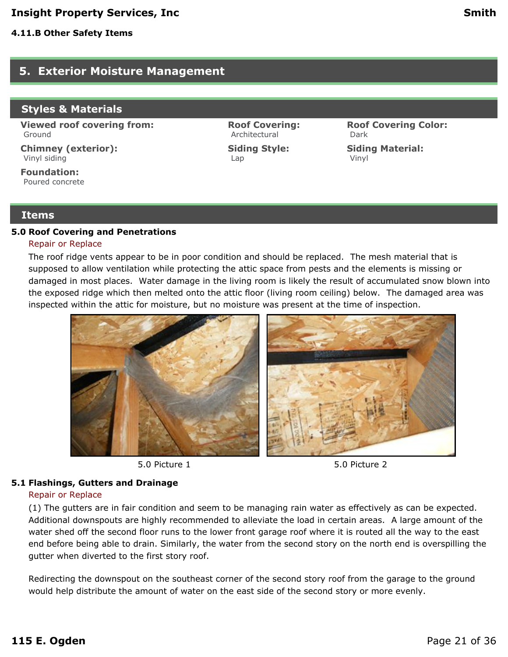### <span id="page-20-0"></span>**5. Exterior Moisture Management**

#### **Styles & Materials**

**Viewed roof covering from:** Ground

**Chimney (exterior):** Vinyl siding

**Foundation:** Poured concrete

#### **Items**

#### **5.0 Roof Covering and Penetrations**

#### Repair or Replace

The roof ridge vents appear to be in poor condition and should be replaced. The mesh material that is supposed to allow ventilation while protecting the attic space from pests and the elements is missing or damaged in most places. Water damage in the living room is likely the result of accumulated snow blown into the exposed ridge which then melted onto the attic floor (living room ceiling) below. The damaged area was inspected within the attic for moisture, but no moisture was present at the time of inspection.

**Roof Covering:** Architectural

**Siding Style:**

Lap









**Roof Covering Color:**

**Siding Material:**

Dark

Vinyl

#### **5.1 Flashings, Gutters and Drainage**

#### Repair or Replace

(1) The gutters are in fair condition and seem to be managing rain water as effectively as can be expected. Additional downspouts are highly recommended to alleviate the load in certain areas. A large amount of the water shed off the second floor runs to the lower front garage roof where it is routed all the way to the east end before being able to drain. Similarly, the water from the second story on the north end is overspilling the gutter when diverted to the first story roof.

Redirecting the downspout on the southeast corner of the second story roof from the garage to the ground would help distribute the amount of water on the east side of the second story or more evenly.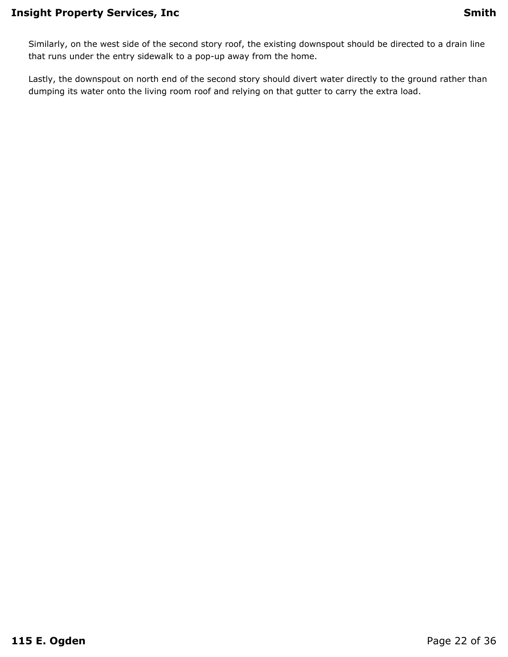Similarly, on the west side of the second story roof, the existing downspout should be directed to a drain line that runs under the entry sidewalk to a pop-up away from the home.

Lastly, the downspout on north end of the second story should divert water directly to the ground rather than dumping its water onto the living room roof and relying on that gutter to carry the extra load.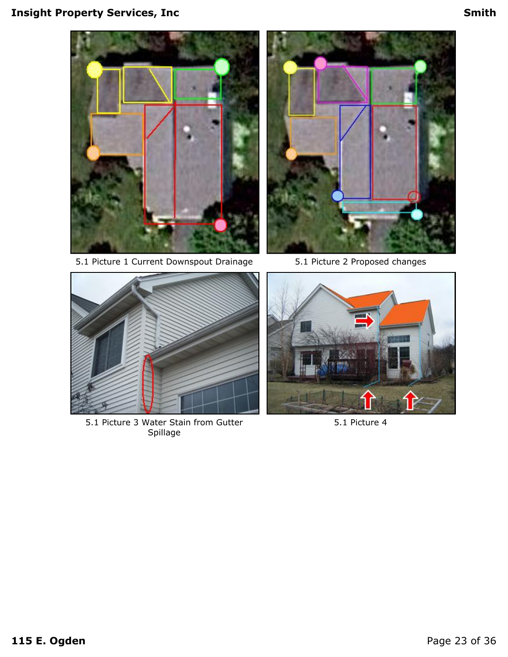## **Insight Property Services, Inc. And the Smith Smith Smith**









5.1 Picture 3 Water Stain from Gutter Spillage



5.1 Picture 4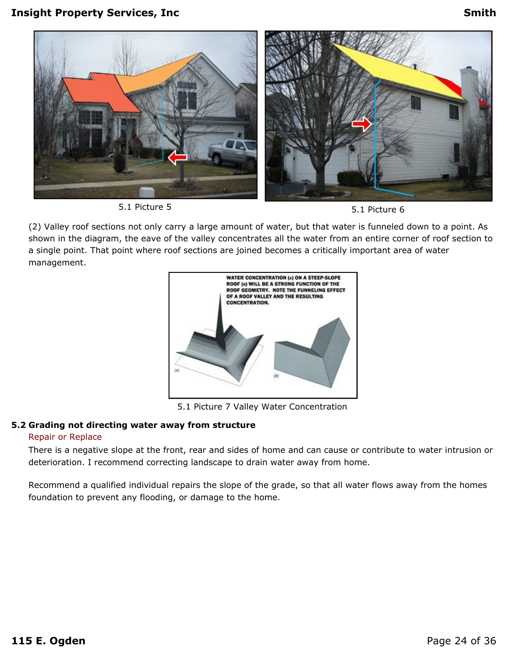

5.1 Picture 5 5.1 Picture 6

(2) Valley roof sections not only carry a large amount of water, but that water is funneled down to a point. As shown in the diagram, the eave of the valley concentrates all the water from an entire corner of roof section to a single point. That point where roof sections are joined becomes a critically important area of water management.



5.1 Picture 7 Valley Water Concentration

#### **5.2 Grading not directing water away from structure**

#### Repair or Replace

There is a negative slope at the front, rear and sides of home and can cause or contribute to water intrusion or deterioration. I recommend correcting landscape to drain water away from home.

Recommend a qualified individual repairs the slope of the grade, so that all water flows away from the homes foundation to prevent any flooding, or damage to the home.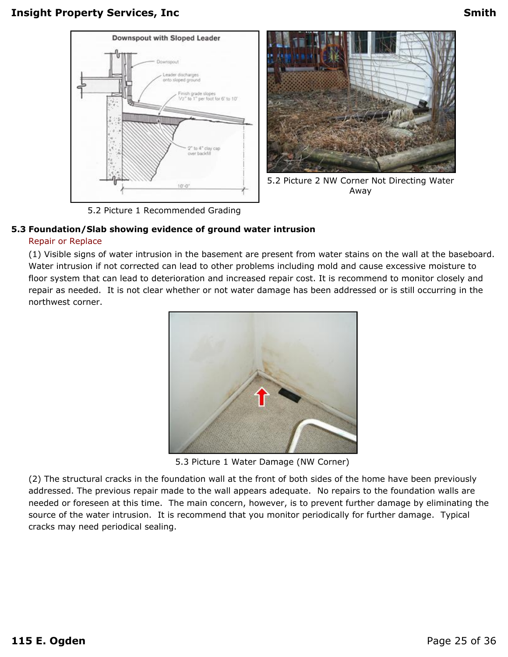



5.2 Picture 2 NW Corner Not Directing Water Away

5.2 Picture 1 Recommended Grading

### **5.3 Foundation/Slab showing evidence of ground water intrusion**

#### Repair or Replace

(1) Visible signs of water intrusion in the basement are present from water stains on the wall at the baseboard. Water intrusion if not corrected can lead to other problems including mold and cause excessive moisture to floor system that can lead to deterioration and increased repair cost. It is recommend to monitor closely and repair as needed. It is not clear whether or not water damage has been addressed or is still occurring in the northwest corner.



5.3 Picture 1 Water Damage (NW Corner)

(2) The structural cracks in the foundation wall at the front of both sides of the home have been previously addressed. The previous repair made to the wall appears adequate. No repairs to the foundation walls are needed or foreseen at this time. The main concern, however, is to prevent further damage by eliminating the source of the water intrusion. It is recommend that you monitor periodically for further damage. Typical cracks may need periodical sealing.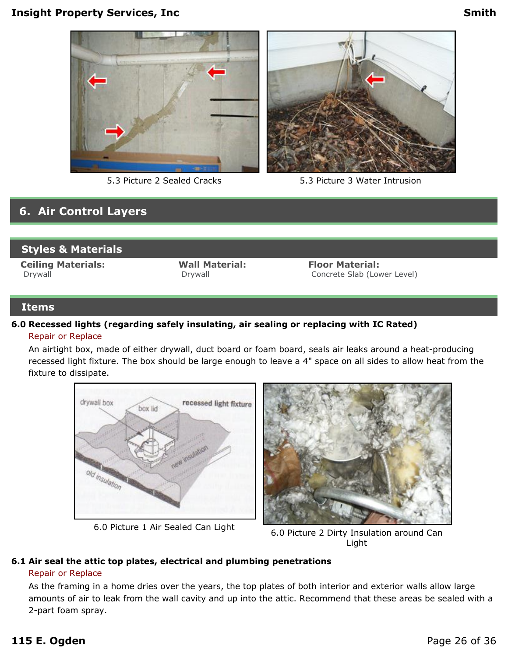



5.3 Picture 2 Sealed Cracks 5.3 Picture 3 Water Intrusion

### <span id="page-25-0"></span>**6. Air Control Layers**

### **Styles & Materials**

**Ceiling Materials:** Drywall

**Wall Material:** Drywall

**Floor Material:** Concrete Slab (Lower Level)

#### **Items**

#### **6.0 Recessed lights (regarding safely insulating, air sealing or replacing with IC Rated)** Repair or Replace

An airtight box, made of either drywall, duct board or foam board, seals air leaks around a heat-producing recessed light fixture. The box should be large enough to leave a 4" space on all sides to allow heat from the fixture to dissipate.





6.0 Picture 1 Air Sealed Can Light 6.0 Picture 2 Dirty Insulation around Can Light

#### **6.1 Air seal the attic top plates, electrical and plumbing penetrations**

#### Repair or Replace

As the framing in a home dries over the years, the top plates of both interior and exterior walls allow large amounts of air to leak from the wall cavity and up into the attic. Recommend that these areas be sealed with a 2-part foam spray.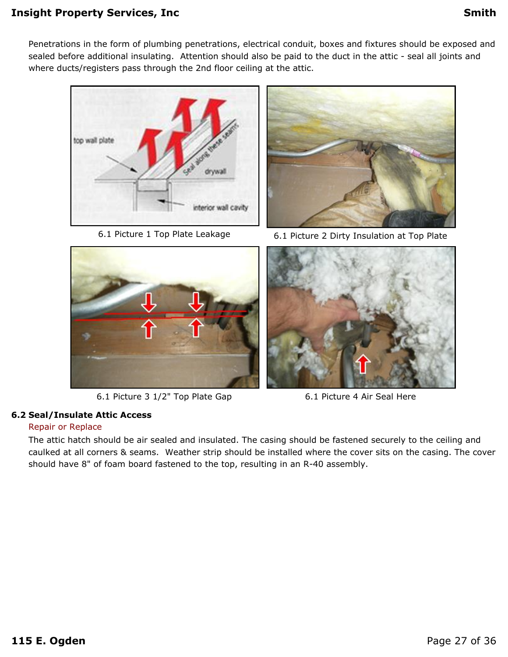Penetrations in the form of plumbing penetrations, electrical conduit, boxes and fixtures should be exposed and sealed before additional insulating. Attention should also be paid to the duct in the attic - seal all joints and where ducts/registers pass through the 2nd floor ceiling at the attic.





6.1 Picture 3 1/2" Top Plate Gap 6.1 Picture 4 Air Seal Here

#### **6.2 Seal/Insulate Attic Access**

#### Repair or Replace

The attic hatch should be air sealed and insulated. The casing should be fastened securely to the ceiling and caulked at all corners & seams. Weather strip should be installed where the cover sits on the casing. The cover should have 8" of foam board fastened to the top, resulting in an R-40 assembly.



6.1 Picture 1 Top Plate Leakage 6.1 Picture 2 Dirty Insulation at Top Plate

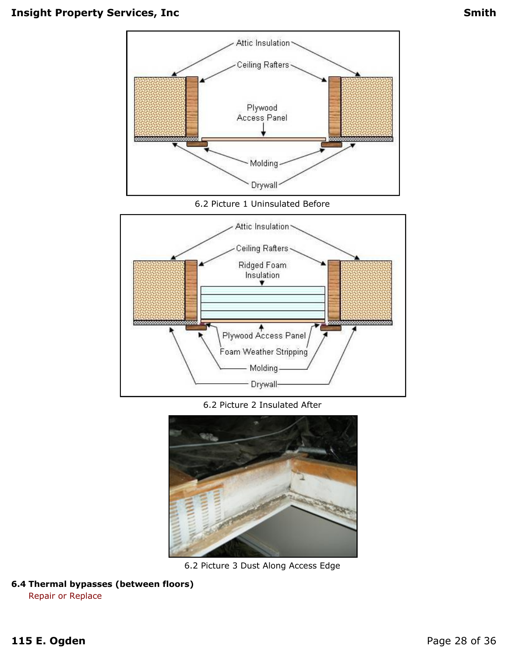

6.2 Picture 1 Uninsulated Before



6.2 Picture 2 Insulated After



6.2 Picture 3 Dust Along Access Edge

**6.4 Thermal bypasses (between floors)**

Repair or Replace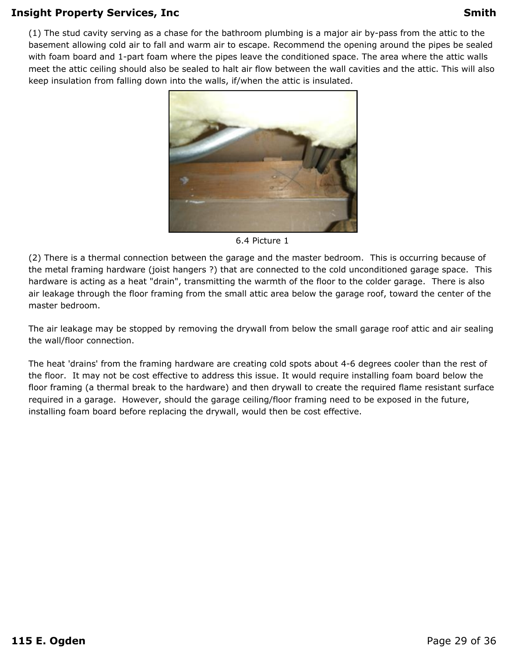(1) The stud cavity serving as a chase for the bathroom plumbing is a major air by-pass from the attic to the basement allowing cold air to fall and warm air to escape. Recommend the opening around the pipes be sealed with foam board and 1-part foam where the pipes leave the conditioned space. The area where the attic walls meet the attic ceiling should also be sealed to halt air flow between the wall cavities and the attic. This will also keep insulation from falling down into the walls, if/when the attic is insulated.



6.4 Picture 1

(2) There is a thermal connection between the garage and the master bedroom. This is occurring because of the metal framing hardware (joist hangers ?) that are connected to the cold unconditioned garage space. This hardware is acting as a heat "drain", transmitting the warmth of the floor to the colder garage. There is also air leakage through the floor framing from the small attic area below the garage roof, toward the center of the master bedroom.

The air leakage may be stopped by removing the drywall from below the small garage roof attic and air sealing the wall/floor connection.

The heat 'drains' from the framing hardware are creating cold spots about 4-6 degrees cooler than the rest of the floor. It may not be cost effective to address this issue. It would require installing foam board below the floor framing (a thermal break to the hardware) and then drywall to create the required flame resistant surface required in a garage. However, should the garage ceiling/floor framing need to be exposed in the future, installing foam board before replacing the drywall, would then be cost effective.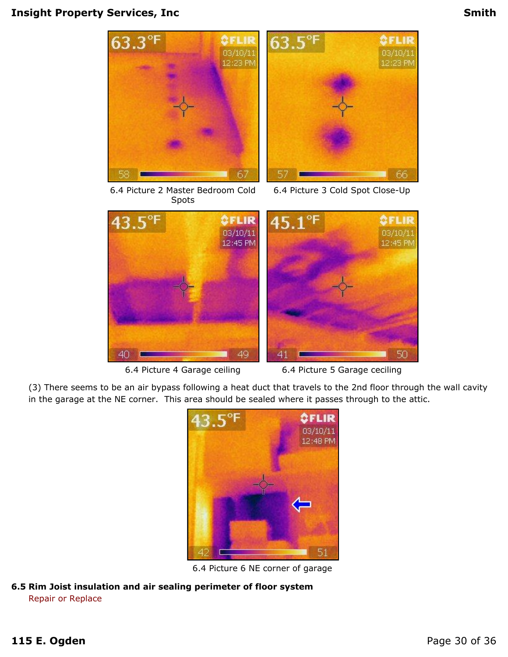





6.4 Picture 3 Cold Spot Close-Up



6.4 Picture 4 Garage ceiling 6.4 Picture 5 Garage ceciling

(3) There seems to be an air bypass following a heat duct that travels to the 2nd floor through the wall cavity in the garage at the NE corner. This area should be sealed where it passes through to the attic.



6.4 Picture 6 NE corner of garage

**6.5 Rim Joist insulation and air sealing perimeter of floor system** Repair or Replace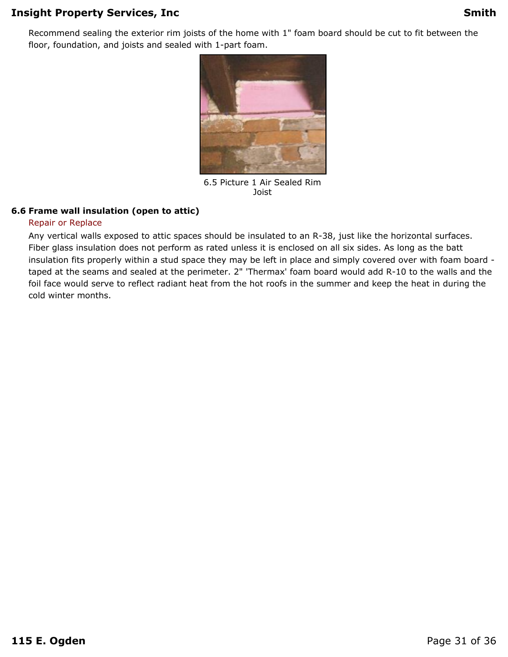Recommend sealing the exterior rim joists of the home with 1" foam board should be cut to fit between the floor, foundation, and joists and sealed with 1-part foam.



6.5 Picture 1 Air Sealed Rim Joist

#### **6.6 Frame wall insulation (open to attic)**

#### Repair or Replace

Any vertical walls exposed to attic spaces should be insulated to an R-38, just like the horizontal surfaces. Fiber glass insulation does not perform as rated unless it is enclosed on all six sides. As long as the batt insulation fits properly within a stud space they may be left in place and simply covered over with foam board taped at the seams and sealed at the perimeter. 2" 'Thermax' foam board would add R-10 to the walls and the foil face would serve to reflect radiant heat from the hot roofs in the summer and keep the heat in during the cold winter months.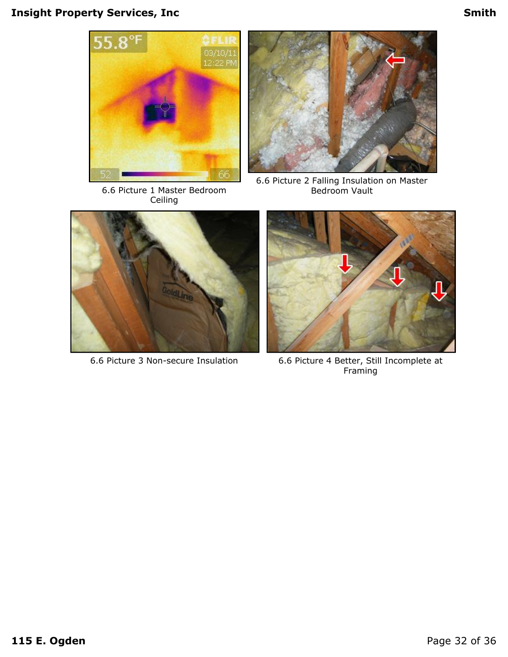

6.6 Picture 1 Master Bedroom Ceiling



6.6 Picture 2 Falling Insulation on Master Bedroom Vault





6.6 Picture 3 Non-secure Insulation 6.6 Picture 4 Better, Still Incomplete at Framing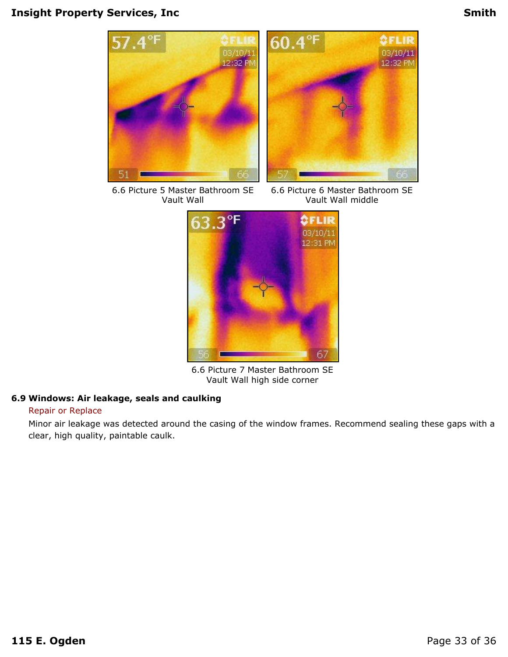

6.6 Picture 5 Master Bathroom SE Vault Wall

6.6 Picture 6 Master Bathroom SE Vault Wall middle



6.6 Picture 7 Master Bathroom SE Vault Wall high side corner

#### **6.9 Windows: Air leakage, seals and caulking**

#### Repair or Replace

Minor air leakage was detected around the casing of the window frames. Recommend sealing these gaps with a clear, high quality, paintable caulk.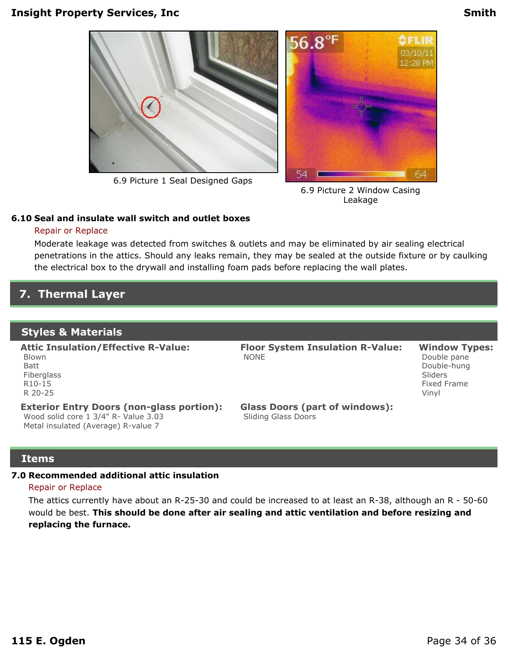

6.9 Picture 1 Seal Designed Gaps



6.9 Picture 2 Window Casing Leakage

#### **6.10 Seal and insulate wall switch and outlet boxes**

#### Repair or Replace

Moderate leakage was detected from switches & outlets and may be eliminated by air sealing electrical penetrations in the attics. Should any leaks remain, they may be sealed at the outside fixture or by caulking the electrical box to the drywall and installing foam pads before replacing the wall plates.

### <span id="page-33-0"></span>**7. Thermal Layer**

#### **Styles & Materials**

**Attic Insulation/Effective R-Value:** Blown Batt Fiberglass R10-15 R 20-25

**Exterior Entry Doors (non-glass portion):** Wood solid core 1 3/4" R- Value 3.03 Metal insulated (Average) R-value 7

**Floor System Insulation R-Value:** NONE

**Window Types:** Double pane Double-hung Sliders Fixed Frame Vinyl

**Glass Doors (part of windows):** Sliding Glass Doors

#### **Items**

#### **7.0 Recommended additional attic insulation**

#### Repair or Replace

The attics currently have about an R-25-30 and could be increased to at least an R-38, although an R - 50-60 would be best. **This should be done after air sealing and attic ventilation and before resizing and replacing the furnace.**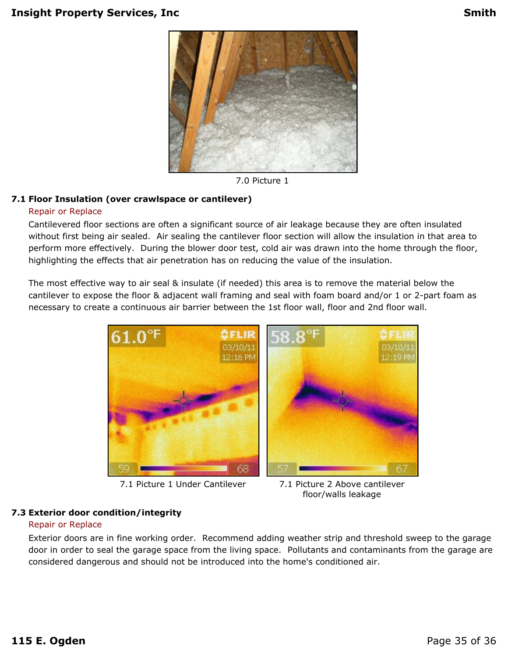

7.0 Picture 1

#### **7.1 Floor Insulation (over crawlspace or cantilever)**

#### Repair or Replace

Cantilevered floor sections are often a significant source of air leakage because they are often insulated without first being air sealed. Air sealing the cantilever floor section will allow the insulation in that area to perform more effectively. During the blower door test, cold air was drawn into the home through the floor, highlighting the effects that air penetration has on reducing the value of the insulation.

The most effective way to air seal & insulate (if needed) this area is to remove the material below the cantilever to expose the floor & adjacent wall framing and seal with foam board and/or 1 or 2-part foam as necessary to create a continuous air barrier between the 1st floor wall, floor and 2nd floor wall.



7.1 Picture 1 Under Cantilever 7.1 Picture 2 Above cantilever

floor/walls leakage

#### **7.3 Exterior door condition/integrity**

#### Repair or Replace

Exterior doors are in fine working order. Recommend adding weather strip and threshold sweep to the garage door in order to seal the garage space from the living space. Pollutants and contaminants from the garage are considered dangerous and should not be introduced into the home's conditioned air.